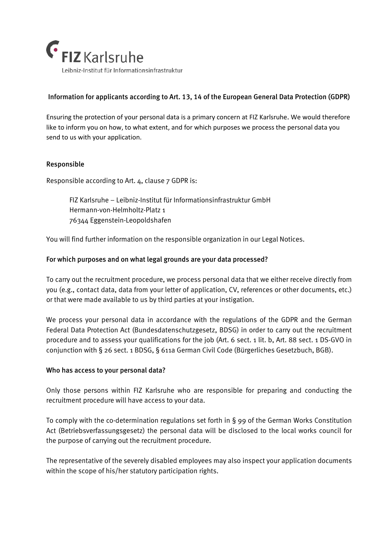

# Information for applicants according to Art. 13, 14 of the European General Data Protection (GDPR)

Ensuring the protection of your personal data is a primary concern at FIZ Karlsruhe. We would therefore like to inform you on how, to what extent, and for which purposes we process the personal data you send to us with your application.

## Responsible

Responsible according to Art. 4, clause 7 GDPR is:

FIZ Karlsruhe – Leibniz-Institut für Informationsinfrastruktur GmbH Hermann-von-Helmholtz-Platz 1 76344 Eggenstein-Leopoldshafen

You will find further information on the responsible organization in our Legal Notices.

## For which purposes and on what legal grounds are your data processed?

To carry out the recruitment procedure, we process personal data that we either receive directly from you (e.g., contact data, data from your letter of application, CV, references or other documents, etc.) or that were made available to us by third parties at your instigation.

We process your personal data in accordance with the regulations of the GDPR and the German Federal Data Protection Act (Bundesdatenschutzgesetz, BDSG) in order to carry out the recruitment procedure and to assess your qualifications for the job (Art. 6 sect. 1 lit. b, Art. 88 sect. 1 DS-GVO in conjunction with § 26 sect. 1 BDSG, § 611a German Civil Code (Bürgerliches Gesetzbuch, BGB).

#### Who has access to your personal data?

Only those persons within FIZ Karlsruhe who are responsible for preparing and conducting the recruitment procedure will have access to your data.

To comply with the co-determination regulations set forth in § 99 of the German Works Constitution Act (Betriebsverfassungsgesetz) the personal data will be disclosed to the local works council for the purpose of carrying out the recruitment procedure.

The representative of the severely disabled employees may also inspect your application documents within the scope of his/her statutory participation rights.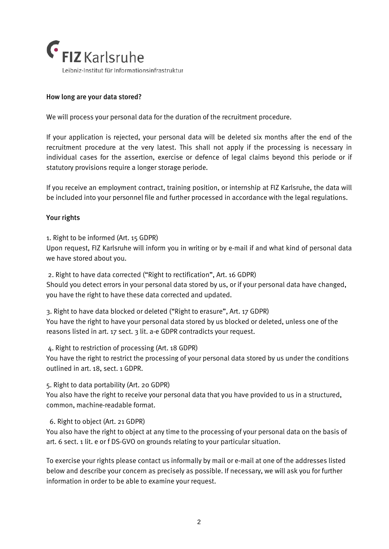

# How long are your data stored?

We will process your personal data for the duration of the recruitment procedure.

If your application is rejected, your personal data will be deleted six months after the end of the recruitment procedure at the very latest. This shall not apply if the processing is necessary in individual cases for the assertion, exercise or defence of legal claims beyond this periode or if statutory provisions require a longer storage periode.

If you receive an employment contract, training position, or internship at FIZ Karlsruhe, the data will be included into your personnel file and further processed in accordance with the legal regulations.

## Your rights

1. Right to be informed (Art. 15 GDPR)

Upon request, FIZ Karlsruhe will inform you in writing or by e-mail if and what kind of personal data we have stored about you.

2. Right to have data corrected ("Right to rectification", Art. 16 GDPR) Should you detect errors in your personal data stored by us, or if your personal data have changed, you have the right to have these data corrected and updated.

3. Right to have data blocked or deleted ("Right to erasure", Art. 17 GDPR) You have the right to have your personal data stored by us blocked or deleted, unless one of the reasons listed in art. 17 sect. 3 lit. a-e GDPR contradicts your request.

4. Right to restriction of processing (Art. 18 GDPR)

You have the right to restrict the processing of your personal data stored by us under the conditions outlined in art. 18, sect. 1 GDPR.

5. Right to data portability (Art. 20 GDPR)

You also have the right to receive your personal data that you have provided to us in a structured, common, machine-readable format.

6. Right to object (Art. 21 GDPR)

You also have the right to object at any time to the processing of your personal data on the basis of art. 6 sect. 1 lit. e or f DS-GVO on grounds relating to your particular situation.

To exercise your rights please contact us informally by mail or e-mail at one of the addresses listed below and describe your concern as precisely as possible. If necessary, we will ask you for further information in order to be able to examine your request.